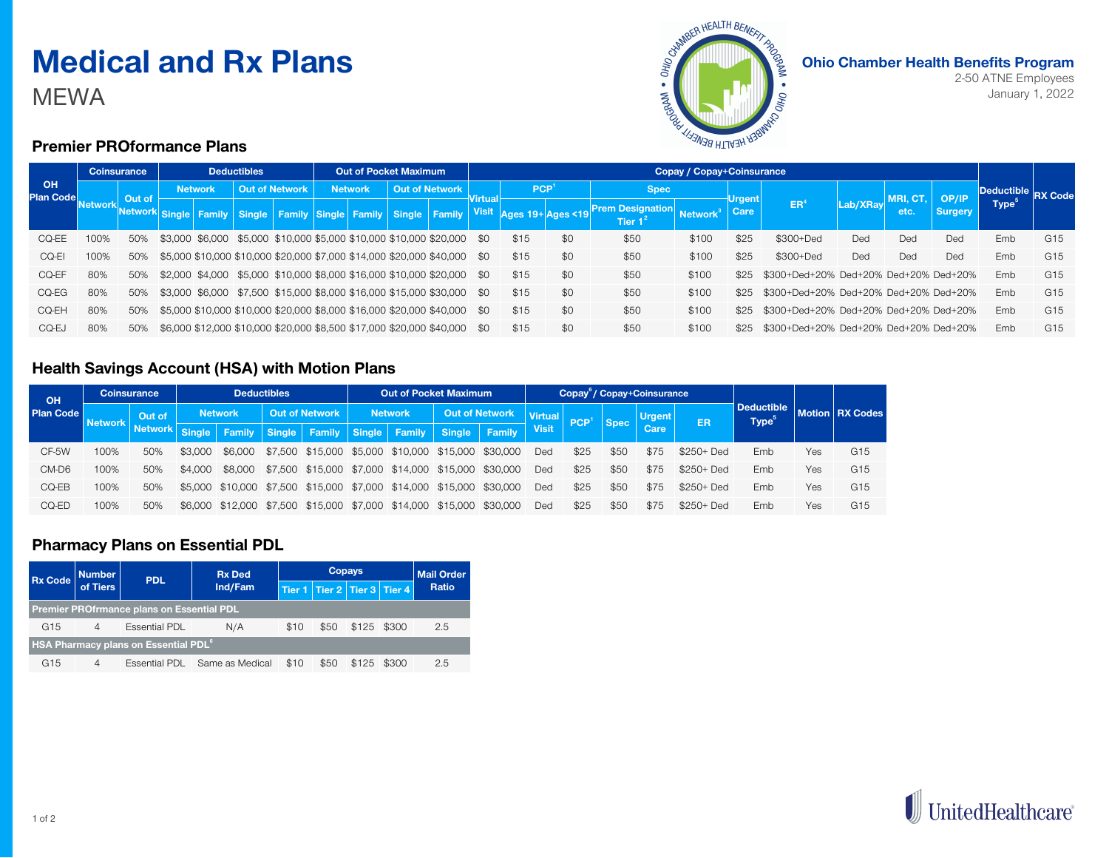# **Medical and Rx Plans**

MEWA



**Ohio Chamber Health Benefits Program**

2-50 ATNE Employees January 1, 2022

### **Premier PROformance Plans**

| <b>OH</b><br><b>Plan Code</b> | <b>Coinsurance</b> |        | <b>Deductibles</b> |  |                                                                           | <b>Out of Pocket Maximum</b> |                |  | Copay / Copay+Coinsurance |  |         |      |                  |                                                                                                                              |                             |                 |                                       |          |          |         |                   |                 |
|-------------------------------|--------------------|--------|--------------------|--|---------------------------------------------------------------------------|------------------------------|----------------|--|---------------------------|--|---------|------|------------------|------------------------------------------------------------------------------------------------------------------------------|-----------------------------|-----------------|---------------------------------------|----------|----------|---------|-------------------|-----------------|
|                               | ∣Network           | Out of | <b>Network</b>     |  | Out of Network                                                            |                              | <b>Network</b> |  | <b>Out of Network</b>     |  | Virtual |      | PCP <sup>1</sup> | <b>Spec</b>                                                                                                                  |                             |                 |                                       |          | MRI, CT, | OP/IP   | Deductible        | <b>RX Code</b>  |
|                               |                    |        |                    |  |                                                                           |                              |                |  |                           |  |         |      |                  | Network Single Family Single Family Single Family Single Family Visit Ages 19 Ages <19 <sup>Prem Designation</sup><br>Tier 1 | <b>Network</b> <sup>3</sup> | ∣Urgent<br>Care | <b>ER</b>                             | Lab/XRay |          | Surgery | Type <sup>®</sup> |                 |
| CQ-EE                         | 100%               | 50%    |                    |  | \$3,000 \$6,000 \$5,000 \$10,000 \$5,000 \$10,000 \$10,000 \$20,000 \$0   |                              |                |  |                           |  |         | \$15 | \$0              | \$50                                                                                                                         | \$100                       | \$25            | \$300+Ded                             | Ded      | Ded      | Ded     | Emb               | G <sub>15</sub> |
| CQ-E                          | 100%               | 50%    |                    |  | \$5,000 \$10,000 \$10,000 \$20,000 \$7,000 \$14,000 \$20,000 \$40,000 \$0 |                              |                |  |                           |  |         | \$15 | \$0              | \$50                                                                                                                         | \$100                       | \$25            | \$300+Ded                             | Ded      | Ded      | Ded     | Emb               | G15             |
| CQ-EF                         | 80%                | 50%    |                    |  | \$2,000 \$4,000 \$5,000 \$10,000 \$8,000 \$16,000 \$10,000 \$20,000 \$0   |                              |                |  |                           |  |         | \$15 | \$0              | \$50                                                                                                                         | \$100                       | \$25            | \$300+Ded+20% Ded+20% Ded+20% Ded+20% |          |          |         | Emb               | G15             |
| CQ-EG                         | 80%                | 50%    |                    |  | \$3,000 \$6,000 \$7,500 \$15,000 \$8,000 \$16,000 \$15,000 \$30,000 \$0   |                              |                |  |                           |  |         | \$15 | \$0              | \$50                                                                                                                         | \$100                       | \$25            | \$300+Ded+20% Ded+20% Ded+20% Ded+20% |          |          |         | Emb               | G <sub>15</sub> |
| CQ-EH                         | 80%                | 50%    |                    |  | \$5,000 \$10,000 \$10,000 \$20,000 \$8,000 \$16,000 \$20,000 \$40,000 \$0 |                              |                |  |                           |  |         | \$15 | \$0              | \$50                                                                                                                         | \$100                       | \$25            | \$300+Ded+20% Ded+20% Ded+20% Ded+20% |          |          |         | Emb               | G <sub>15</sub> |
| CQ-EJ                         | 80%                | 50%    |                    |  | \$6,000 \$12,000 \$10,000 \$20,000 \$8,500 \$17,000 \$20,000 \$40,000 \$0 |                              |                |  |                           |  |         | \$15 | \$0              | \$50                                                                                                                         | \$100                       | \$25            | \$300+Ded+20% Ded+20% Ded+20% Ded+20% |          |          |         | Emb               | G <sub>15</sub> |

#### **Health Savings Account (HSA) with Motion Plans**

| OH<br><b>Plan Code</b> | <b>Coinsurance</b> |                | <b>Deductibles</b> |         |                       |                                                                      | <b>Out of Pocket Maximum</b> |  |                       |        | Copay <sup>6</sup> / Copay+Coinsurance |                  |             |               |             |                                  |     |                          |
|------------------------|--------------------|----------------|--------------------|---------|-----------------------|----------------------------------------------------------------------|------------------------------|--|-----------------------|--------|----------------------------------------|------------------|-------------|---------------|-------------|----------------------------------|-----|--------------------------|
|                        | <b>Network</b>     | Out of         | <b>Network</b>     |         | <b>Out of Network</b> |                                                                      | <b>Network</b>               |  | <b>Out of Network</b> |        | <b>Virtual</b>                         | PCP <sup>1</sup> |             | <b>Urgent</b> | ER          | <b>Deductible</b><br><b>Type</b> |     | <b>Motion   RX Codes</b> |
|                        |                    | <b>Network</b> | Single             |         |                       | <b>Family Single Family Single Family Single  </b>                   |                              |  |                       | Family | <b>Visit</b>                           |                  | <b>Spec</b> | Care          |             |                                  |     |                          |
| CF-5W                  | 100%               | 50%            | \$3,000            | \$6,000 |                       | \$7,500 \$15,000 \$5,000 \$10,000 \$15,000 \$30,000                  |                              |  |                       |        | Ded                                    | \$25             | \$50        | \$75          | $$250+$ Ded | Emb                              | Yes | G <sub>15</sub>          |
| CM-D6                  | 100%               | 50%            | \$4,000            | \$8.000 |                       | \$7,500 \$15,000 \$7,000 \$14,000 \$15,000 \$30,000                  |                              |  |                       |        | Ded                                    | \$25             | \$50        | \$75          | $$250+$ Ded | Emb                              | Yes | G <sub>15</sub>          |
| CQ-EB                  | 100%               | 50%            |                    |         |                       | \$5,000 \$10,000 \$7,500 \$15,000 \$7,000 \$14,000 \$15,000 \$30,000 |                              |  |                       |        | Ded                                    | \$25             | \$50        | \$75          | $$250+$ Ded | Emb                              | Yes | G <sub>15</sub>          |
| CQ-ED                  | 100%               | 50%            |                    |         |                       | \$6,000 \$12,000 \$7,500 \$15,000 \$7,000 \$14,000 \$15,000 \$30,000 |                              |  |                       |        | Ded                                    | \$25             | \$50        | \$75          | $$250+$ Ded | Emb                              | Yes | G <sub>15</sub>          |

#### **Pharmacy Plans on Essential PDL**

| Rx Code Mumber                                          |                | <b>PDL</b>    | <b>Rx Ded</b>   |      | <b>Mail Order</b>                 |             |  |       |  |  |  |  |
|---------------------------------------------------------|----------------|---------------|-----------------|------|-----------------------------------|-------------|--|-------|--|--|--|--|
|                                                         |                |               | Ind/Fam         |      | Tier 1   Tier 2   Tier 3   Tier 4 |             |  | Ratio |  |  |  |  |
| <b>Premier PROfrmance plans on Essential PDL</b>        |                |               |                 |      |                                   |             |  |       |  |  |  |  |
| G <sub>15</sub>                                         | $\overline{4}$ | Essential PDL | N/A             | \$10 | \$50                              | \$125 \$300 |  | 2.5   |  |  |  |  |
| <b>HSA Pharmacy plans on Essential PDL</b> <sup>6</sup> |                |               |                 |      |                                   |             |  |       |  |  |  |  |
| G <sub>15</sub>                                         | $\overline{4}$ | Essential PDL | Same as Medical | \$10 | \$50                              | \$125 \$300 |  | 2.5   |  |  |  |  |